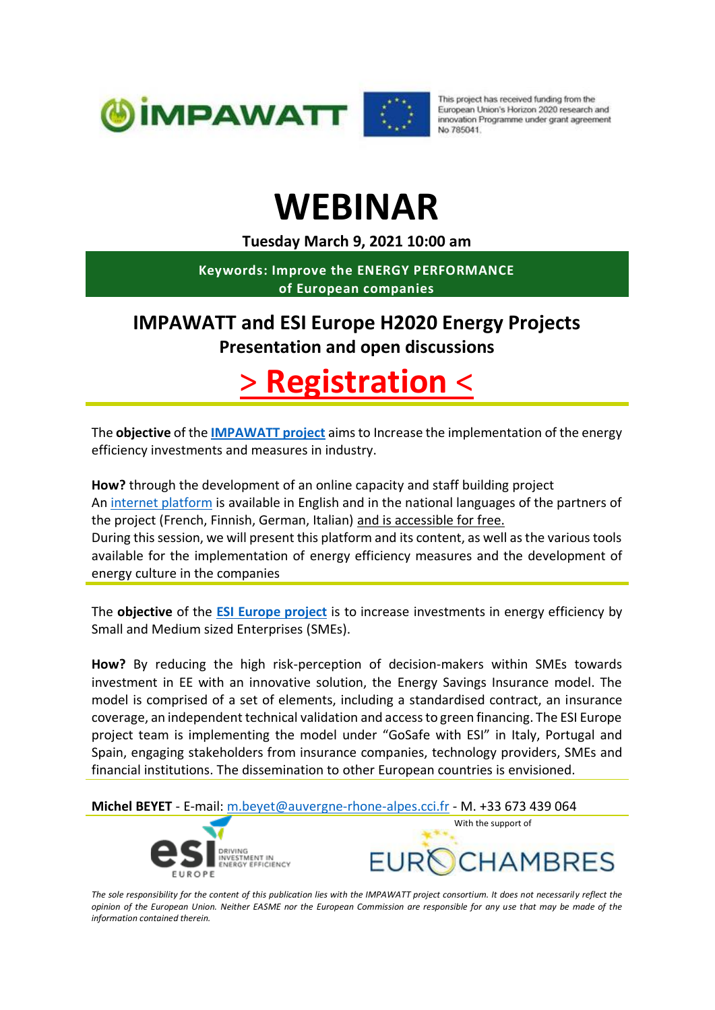

This project has received funding from the European Union's Horizon 2020 research and innovation Programme under grant agreement No 785041.

## **WEBINAR**

**Tuesday March 9, 2021 10:00 am**

**Keywords: Improve the ENERGY PERFORMANCE of European companies**

## **IMPAWATT and ESI Europe H2020 Energy Projects Presentation and open discussions**

## > **[Registration](https://docs.google.com/forms/d/e/1FAIpQLSfZukgKG_RpqfGf60p4M6Jpl3EmdksJq1f_Gc7a7NOpGVv5ag/viewform)** <

The **objective** of the **[IMPAWATT project](https://www.impawatt.com/)** aims to Increase the implementation of the energy efficiency investments and measures in industry.

**How?** through the development of an online capacity and staff building project An [internet platform](https://eu.impawatt.com/) is available in English and in the national languages of the partners of the project (French, Finnish, German, Italian) and is accessible for free. During this session, we will present this platform and its content, as well as the various tools available for the implementation of energy efficiency measures and the development of energy culture in the companies

The **objective** of the **[ESI Europe project](https://www.esi-europe.org/)** is to increase investments in energy efficiency by Small and Medium sized Enterprises (SMEs).

**How?** By reducing the high risk-perception of decision-makers within SMEs towards investment in EE with an innovative solution, the Energy Savings Insurance model. The model is comprised of a set of elements, including a standardised contract, an insurance coverage, an independent technical validation and access to green financing. The ESI Europe project team is implementing the model under "GoSafe with ESI" in Italy, Portugal and Spain, engaging stakeholders from insurance companies, technology providers, SMEs and financial institutions. The dissemination to other European countries is envisioned.

**Michel BEYET** - E-mail: [m.beyet@auvergne-rhone-alpes.cci.fr](mailto:m.beyet@auvergne-rhone-alpes.cci.fr) - M. +33 673 439 064





*The sole responsibility for the content of this publication lies with the IMPAWATT project consortium. It does not necessarily reflect the opinion of the European Union. Neither EASME nor the European Commission are responsible for any use that may be made of the information contained therein.*